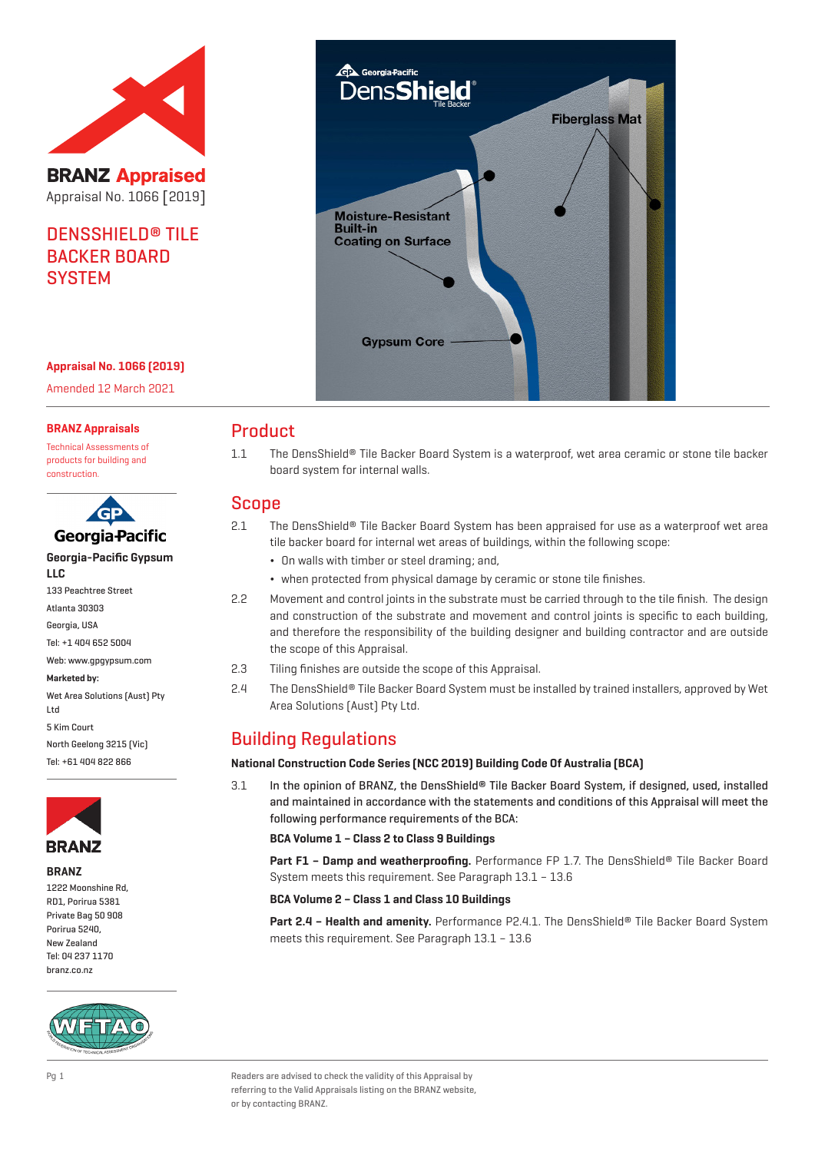

**BRANZ Appraised** Appraisal No. 1066 [2019]

# DENSSHIELD® TILE BACKER BOARD **SYSTEM**



## **Appraisal No. 1066 (2019)**

Amended 12 March 2021

#### **BRANZ Appraisals**

Technical Assessments of products for building and construction.

| GP                                 |
|------------------------------------|
| Georgia-Pacific                    |
| Georgia-Pacific Gypsum             |
| LLC                                |
| <b>133 Peachtree Street</b>        |
| Atlanta 30303                      |
| Georgia, USA                       |
| Tel: +1 404 652 5004               |
| Web: www.qpqypsum.com              |
| Marketed by:                       |
| Wet Area Solutions (Aust) Pty<br>. |

### Ltd 5 Kim Court North Geelong 3215 (Vic) Tel: +61 404 822 866



**BRANZ**

1222 Moonshine Rd, RD1, Porirua 5381 Private Bag 50 908 Porirua 5240, New Zealand Tel: 04 237 1170 branz.co.nz



## Product

1.1 The DensShield® Tile Backer Board System is a waterproof, wet area ceramic or stone tile backer board system for internal walls.

## Scope

- 2.1 The DensShield® Tile Backer Board System has been appraised for use as a waterproof wet area tile backer board for internal wet areas of buildings, within the following scope:
	- ¬ On walls with timber or steel draming; and,
	- ¬ when protected from physical damage by ceramic or stone tile finishes.
- 2.2 Movement and control joints in the substrate must be carried through to the tile finish. The design and construction of the substrate and movement and control joints is specific to each building, and therefore the responsibility of the building designer and building contractor and are outside the scope of this Appraisal.
- 2.3 Tiling finishes are outside the scope of this Appraisal.
- 2.4 The DensShield® Tile Backer Board System must be installed by trained installers, approved by Wet Area Solutions (Aust) Pty Ltd.

## Building Regulations

## **National Construction Code Series (NCC 2019) Building Code Of Australia (BCA)**

3.1 In the opinion of BRANZ, the DensShield® Tile Backer Board System, if designed, used, installed and maintained in accordance with the statements and conditions of this Appraisal will meet the following performance requirements of the BCA:

#### **BCA Volume 1 – Class 2 to Class 9 Buildings**

**Part F1 – Damp and weatherproofing.** Performance FP 1.7. The DensShield® Tile Backer Board System meets this requirement. See Paragraph 13.1 – 13.6

#### **BCA Volume 2 – Class 1 and Class 10 Buildings**

**Part 2.4 – Health and amenity.** Performance P2.4.1. The DensShield® Tile Backer Board System meets this requirement. See Paragraph 13.1 – 13.6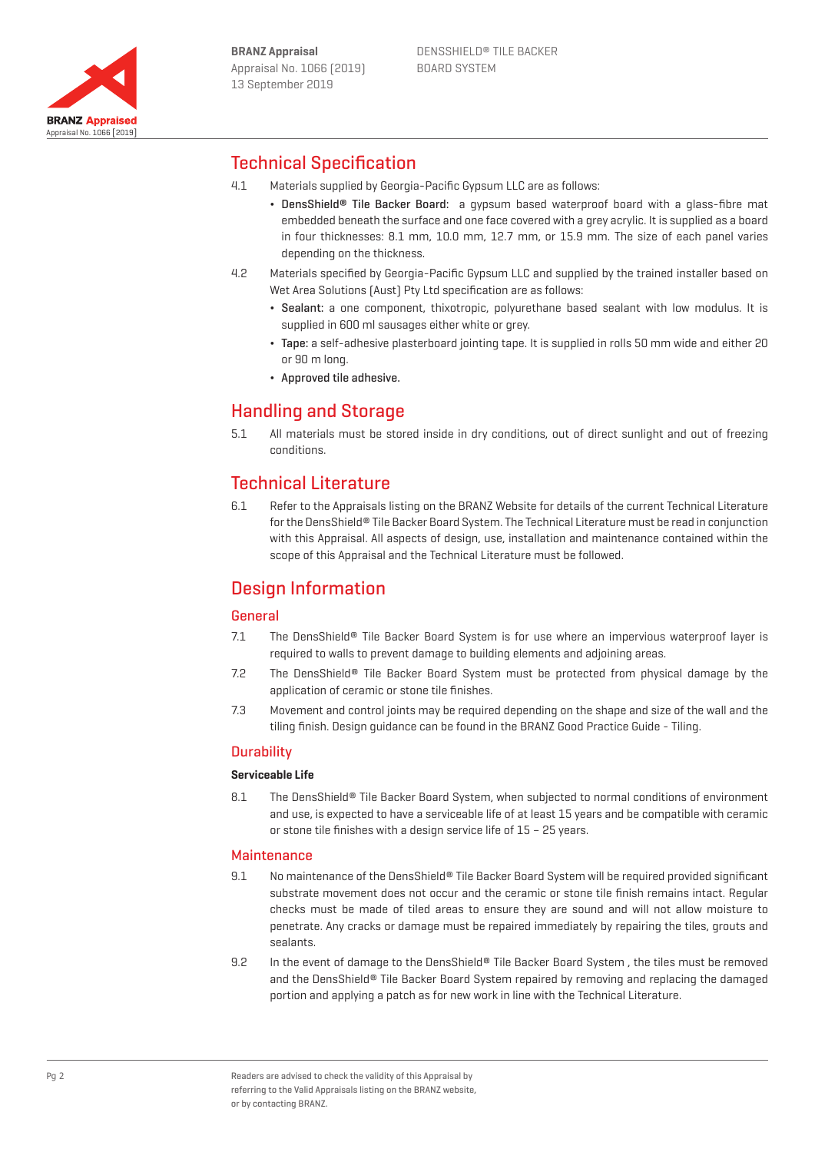

# Technical Specification

- 4.1 Materials supplied by Georgia-Pacific Gypsum LLC are as follows:
	- DensShield® Tile Backer Board: a gypsum based waterproof board with a glass-fibre mat embedded beneath the surface and one face covered with a grey acrylic. It is supplied as a board in four thicknesses: 8.1 mm, 10.0 mm, 12.7 mm, or 15.9 mm. The size of each panel varies depending on the thickness.
- 4.2 Materials specified by Georgia-Pacific Gypsum LLC and supplied by the trained installer based on Wet Area Solutions (Aust) Pty Ltd specification are as follows:
	- ¬ Sealant: a one component, thixotropic, polyurethane based sealant with low modulus. It is supplied in 600 ml sausages either white or grey.
	- ¬ Tape: a self-adhesive plasterboard jointing tape. It is supplied in rolls 50 mm wide and either 20 or 90 m long.
	- ¬ Approved tile adhesive.

# Handling and Storage

5.1 All materials must be stored inside in dry conditions, out of direct sunlight and out of freezing conditions.

## Technical Literature

6.1 Refer to the Appraisals listing on the BRANZ Website for details of the current Technical Literature for the DensShield® Tile Backer Board System. The Technical Literature must be read in conjunction with this Appraisal. All aspects of design, use, installation and maintenance contained within the scope of this Appraisal and the Technical Literature must be followed.

## Design Information

## General

- 7.1 The DensShield® Tile Backer Board System is for use where an impervious waterproof layer is required to walls to prevent damage to building elements and adjoining areas.
- 7.2 The DensShield® Tile Backer Board System must be protected from physical damage by the application of ceramic or stone tile finishes.
- 7.3 Movement and control joints may be required depending on the shape and size of the wall and the tiling finish. Design guidance can be found in the BRANZ Good Practice Guide - Tiling.

## **Durability**

## **Serviceable Life**

8.1 The DensShield® Tile Backer Board System, when subjected to normal conditions of environment and use, is expected to have a serviceable life of at least 15 years and be compatible with ceramic or stone tile finishes with a design service life of 15 – 25 years.

## **Maintenance**

- 9.1 No maintenance of the DensShield® Tile Backer Board System will be required provided significant substrate movement does not occur and the ceramic or stone tile finish remains intact. Regular checks must be made of tiled areas to ensure they are sound and will not allow moisture to penetrate. Any cracks or damage must be repaired immediately by repairing the tiles, grouts and sealants.
- 9.2 In the event of damage to the DensShield® Tile Backer Board System, the tiles must be removed and the DensShield® Tile Backer Board System repaired by removing and replacing the damaged portion and applying a patch as for new work in line with the Technical Literature.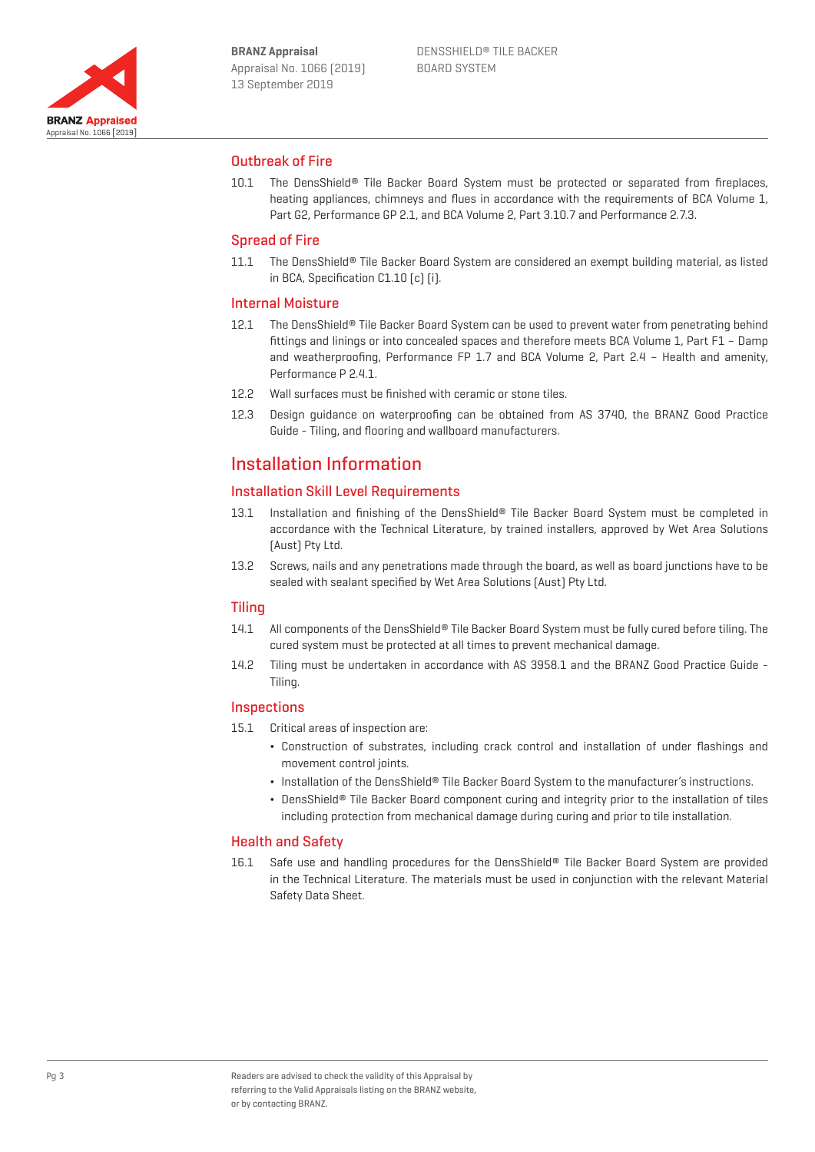

## Outbreak of Fire

10.1 The DensShield® Tile Backer Board System must be protected or separated from fireplaces, heating appliances, chimneys and flues in accordance with the requirements of BCA Volume 1, Part G2, Performance GP 2.1, and BCA Volume 2, Part 3.10.7 and Performance 2.7.3.

### Spread of Fire

11.1 The DensShield® Tile Backer Board System are considered an exempt building material, as listed in BCA, Specification C1.10 (c) (i).

## Internal Moisture

- 12.1 The DensShield® Tile Backer Board System can be used to prevent water from penetrating behind fittings and linings or into concealed spaces and therefore meets BCA Volume 1, Part F1 – Damp and weatherproofing, Performance FP 1.7 and BCA Volume 2, Part 2.4 – Health and amenity, Performance P 2.4.1
- 12.2 Wall surfaces must be finished with ceramic or stone tiles.
- 12.3 Design guidance on waterproofing can be obtained from AS 3740, the BRANZ Good Practice Guide - Tiling, and flooring and wallboard manufacturers.

## Installation Information

## Installation Skill Level Requirements

- 13.1 Installation and finishing of the DensShield® Tile Backer Board System must be completed in accordance with the Technical Literature, by trained installers, approved by Wet Area Solutions (Aust) Pty Ltd.
- 13.2 Screws, nails and any penetrations made through the board, as well as board junctions have to be sealed with sealant specified by Wet Area Solutions (Aust) Pty Ltd.

#### **Tiling**

- 14.1 All components of the DensShield® Tile Backer Board System must be fully cured before tiling. The cured system must be protected at all times to prevent mechanical damage.
- 14.2 Tiling must be undertaken in accordance with AS 3958.1 and the BRANZ Good Practice Guide Tiling.

#### **Inspections**

- 15.1 Critical areas of inspection are:
	- ¬ Construction of substrates, including crack control and installation of under flashings and movement control joints.
	- Installation of the DensShield® Tile Backer Board System to the manufacturer's instructions.
	- DensShield® Tile Backer Board component curing and integrity prior to the installation of tiles including protection from mechanical damage during curing and prior to tile installation.

#### Health and Safety

16.1 Safe use and handling procedures for the DensShield® Tile Backer Board System are provided in the Technical Literature. The materials must be used in conjunction with the relevant Material Safety Data Sheet.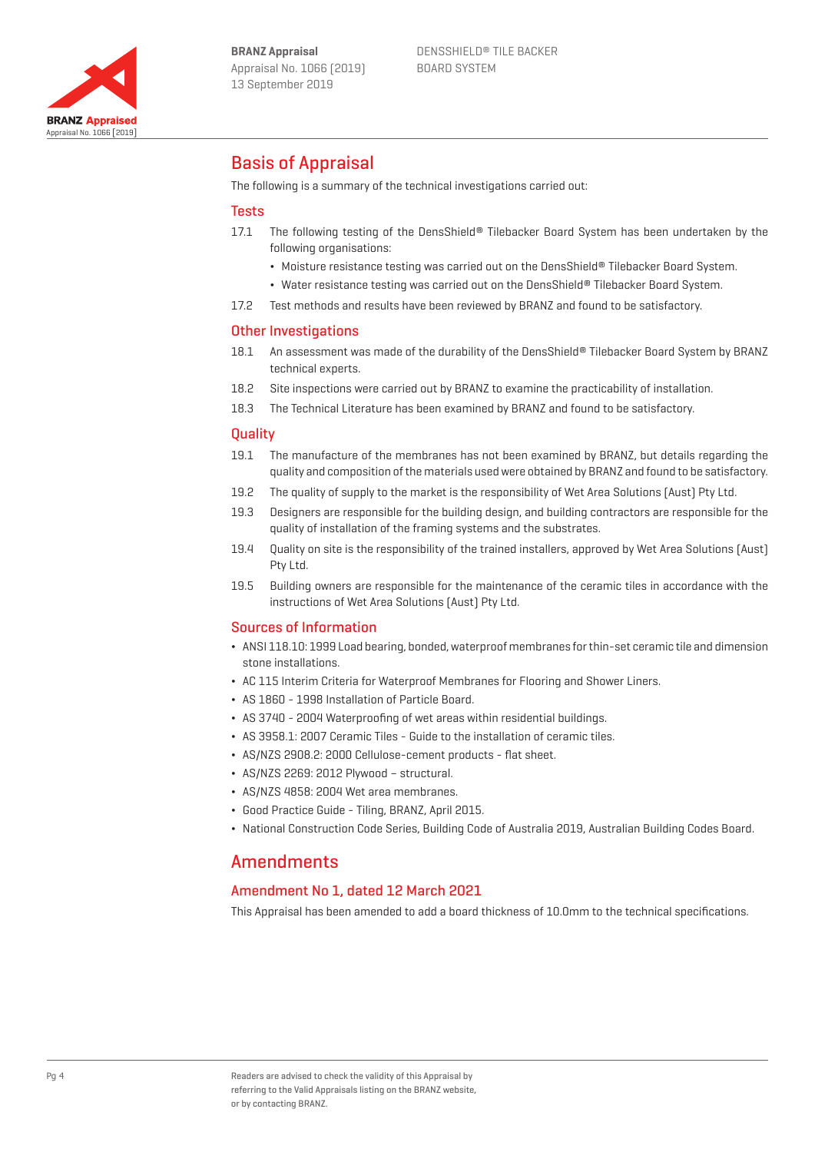

## Basis of Appraisal

The following is a summary of the technical investigations carried out:

## **Tests**

- 17.1 The following testing of the DensShield® Tilebacker Board System has been undertaken by the following organisations:
	- ¬ Moisture resistance testing was carried out on the DensShield® Tilebacker Board System.
	- ¬ Water resistance testing was carried out on the DensShield® Tilebacker Board System.
- 17.2 Test methods and results have been reviewed by BRANZ and found to be satisfactory.

## Other Investigations

- 18.1 An assessment was made of the durability of the DensShield® Tilebacker Board System by BRANZ technical experts.
- 18.2 Site inspections were carried out by BRANZ to examine the practicability of installation.
- 18.3 The Technical Literature has been examined by BRANZ and found to be satisfactory.

## **Quality**

- 19.1 The manufacture of the membranes has not been examined by BRANZ, but details regarding the quality and composition of the materials used were obtained by BRANZ and found to be satisfactory.
- 19.2 The quality of supply to the market is the responsibility of Wet Area Solutions (Aust) Pty Ltd.
- 19.3 Designers are responsible for the building design, and building contractors are responsible for the quality of installation of the framing systems and the substrates.
- 19.4 Quality on site is the responsibility of the trained installers, approved by Wet Area Solutions (Aust) Pty Ltd.
- 19.5 Building owners are responsible for the maintenance of the ceramic tiles in accordance with the instructions of Wet Area Solutions (Aust) Pty Ltd.

#### Sources of Information

- ¬ ANSI 118.10: 1999 Load bearing, bonded, waterproof membranes for thin-set ceramic tile and dimension stone installations.
- ¬ AC 115 Interim Criteria for Waterproof Membranes for Flooring and Shower Liners.
- ¬ AS 1860 1998 Installation of Particle Board.
- ¬ AS 3740 2004 Waterproofing of wet areas within residential buildings.
- ¬ AS 3958.1: 2007 Ceramic Tiles Guide to the installation of ceramic tiles.
- ¬ AS/NZS 2908.2: 2000 Cellulose-cement products flat sheet.
- ¬ AS/NZS 2269: 2012 Plywood structural.
- ¬ AS/NZS 4858: 2004 Wet area membranes.
- ¬ Good Practice Guide Tiling, BRANZ, April 2015.
- ¬ National Construction Code Series, Building Code of Australia 2019, Australian Building Codes Board.

## **Amendments**

## Amendment No 1, dated 12 March 2021

This Appraisal has been amended to add a board thickness of 10.0mm to the technical specifications.